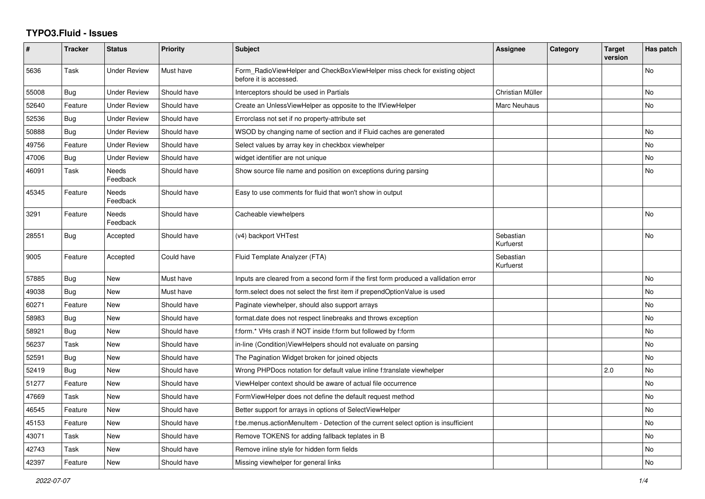## **TYPO3.Fluid - Issues**

| #     | <b>Tracker</b> | <b>Status</b>       | <b>Priority</b> | <b>Subject</b>                                                                                       | Assignee               | Category | <b>Target</b><br>version | Has patch |
|-------|----------------|---------------------|-----------------|------------------------------------------------------------------------------------------------------|------------------------|----------|--------------------------|-----------|
| 5636  | Task           | Under Review        | Must have       | Form_RadioViewHelper and CheckBoxViewHelper miss check for existing object<br>before it is accessed. |                        |          |                          | <b>No</b> |
| 55008 | <b>Bug</b>     | <b>Under Review</b> | Should have     | Interceptors should be used in Partials                                                              | Christian Müller       |          |                          | <b>No</b> |
| 52640 | Feature        | <b>Under Review</b> | Should have     | Create an UnlessViewHelper as opposite to the IfViewHelper                                           | Marc Neuhaus           |          |                          | No        |
| 52536 | Bug            | Under Review        | Should have     | Errorclass not set if no property-attribute set                                                      |                        |          |                          |           |
| 50888 | <b>Bug</b>     | <b>Under Review</b> | Should have     | WSOD by changing name of section and if Fluid caches are generated                                   |                        |          |                          | <b>No</b> |
| 49756 | Feature        | <b>Under Review</b> | Should have     | Select values by array key in checkbox viewhelper                                                    |                        |          |                          | No        |
| 47006 | <b>Bug</b>     | <b>Under Review</b> | Should have     | widget identifier are not unique                                                                     |                        |          |                          | <b>No</b> |
| 46091 | Task           | Needs<br>Feedback   | Should have     | Show source file name and position on exceptions during parsing                                      |                        |          |                          | No        |
| 45345 | Feature        | Needs<br>Feedback   | Should have     | Easy to use comments for fluid that won't show in output                                             |                        |          |                          |           |
| 3291  | Feature        | Needs<br>Feedback   | Should have     | Cacheable viewhelpers                                                                                |                        |          |                          | No        |
| 28551 | <b>Bug</b>     | Accepted            | Should have     | (v4) backport VHTest                                                                                 | Sebastian<br>Kurfuerst |          |                          | <b>No</b> |
| 9005  | Feature        | Accepted            | Could have      | Fluid Template Analyzer (FTA)                                                                        | Sebastian<br>Kurfuerst |          |                          |           |
| 57885 | Bug            | New                 | Must have       | Inputs are cleared from a second form if the first form produced a vallidation error                 |                        |          |                          | <b>No</b> |
| 49038 | Bug            | New                 | Must have       | form.select does not select the first item if prependOptionValue is used                             |                        |          |                          | <b>No</b> |
| 60271 | Feature        | New                 | Should have     | Paginate viewhelper, should also support arrays                                                      |                        |          |                          | No        |
| 58983 | Bug            | New                 | Should have     | format.date does not respect linebreaks and throws exception                                         |                        |          |                          | <b>No</b> |
| 58921 | Bug            | New                 | Should have     | f:form.* VHs crash if NOT inside f:form but followed by f:form                                       |                        |          |                          | <b>No</b> |
| 56237 | Task           | New                 | Should have     | in-line (Condition) View Helpers should not evaluate on parsing                                      |                        |          |                          | <b>No</b> |
| 52591 | <b>Bug</b>     | New                 | Should have     | The Pagination Widget broken for joined objects                                                      |                        |          |                          | No        |
| 52419 | <b>Bug</b>     | <b>New</b>          | Should have     | Wrong PHPDocs notation for default value inline f:translate viewhelper                               |                        |          | 2.0                      | <b>No</b> |
| 51277 | Feature        | New                 | Should have     | ViewHelper context should be aware of actual file occurrence                                         |                        |          |                          | No        |
| 47669 | Task           | New                 | Should have     | FormViewHelper does not define the default request method                                            |                        |          |                          | <b>No</b> |
| 46545 | Feature        | <b>New</b>          | Should have     | Better support for arrays in options of SelectViewHelper                                             |                        |          |                          | <b>No</b> |
| 45153 | Feature        | New                 | Should have     | f:be.menus.actionMenuItem - Detection of the current select option is insufficient                   |                        |          |                          | No        |
| 43071 | Task           | New                 | Should have     | Remove TOKENS for adding fallback teplates in B                                                      |                        |          |                          | No        |
| 42743 | Task           | New                 | Should have     | Remove inline style for hidden form fields                                                           |                        |          |                          | <b>No</b> |
| 42397 | Feature        | <b>New</b>          | Should have     | Missing viewhelper for general links                                                                 |                        |          |                          | <b>No</b> |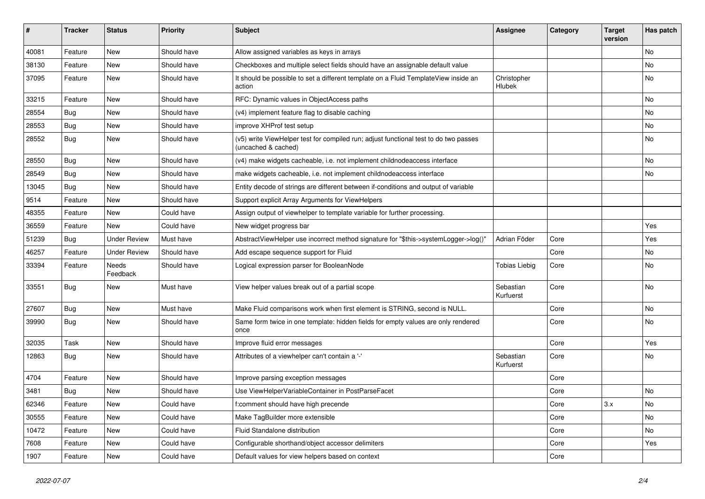| #     | <b>Tracker</b> | <b>Status</b>       | <b>Priority</b> | <b>Subject</b>                                                                                              | <b>Assignee</b>        | Category | <b>Target</b><br>version | Has patch |
|-------|----------------|---------------------|-----------------|-------------------------------------------------------------------------------------------------------------|------------------------|----------|--------------------------|-----------|
| 40081 | Feature        | New                 | Should have     | Allow assigned variables as keys in arrays                                                                  |                        |          |                          | <b>No</b> |
| 38130 | Feature        | New                 | Should have     | Checkboxes and multiple select fields should have an assignable default value                               |                        |          |                          | No        |
| 37095 | Feature        | New                 | Should have     | It should be possible to set a different template on a Fluid TemplateView inside an<br>action               | Christopher<br>Hlubek  |          |                          | No        |
| 33215 | Feature        | New                 | Should have     | RFC: Dynamic values in ObjectAccess paths                                                                   |                        |          |                          | No        |
| 28554 | Bug            | New                 | Should have     | (v4) implement feature flag to disable caching                                                              |                        |          |                          | No        |
| 28553 | Bug            | New                 | Should have     | improve XHProf test setup                                                                                   |                        |          |                          | No        |
| 28552 | Bug            | New                 | Should have     | (v5) write ViewHelper test for compiled run; adjust functional test to do two passes<br>(uncached & cached) |                        |          |                          | <b>No</b> |
| 28550 | Bug            | New                 | Should have     | (v4) make widgets cacheable, i.e. not implement childnodeaccess interface                                   |                        |          |                          | No        |
| 28549 | Bug            | New                 | Should have     | make widgets cacheable, i.e. not implement childnodeaccess interface                                        |                        |          |                          | No        |
| 13045 | Bug            | <b>New</b>          | Should have     | Entity decode of strings are different between if-conditions and output of variable                         |                        |          |                          |           |
| 9514  | Feature        | New                 | Should have     | Support explicit Array Arguments for ViewHelpers                                                            |                        |          |                          |           |
| 48355 | Feature        | <b>New</b>          | Could have      | Assign output of viewhelper to template variable for further processing.                                    |                        |          |                          |           |
| 36559 | Feature        | New                 | Could have      | New widget progress bar                                                                                     |                        |          |                          | Yes       |
| 51239 | Bug            | <b>Under Review</b> | Must have       | AbstractViewHelper use incorrect method signature for "\$this->systemLogger->log()"                         | Adrian Föder           | Core     |                          | Yes       |
| 46257 | Feature        | <b>Under Review</b> | Should have     | Add escape sequence support for Fluid                                                                       |                        | Core     |                          | No        |
| 33394 | Feature        | Needs<br>Feedback   | Should have     | Logical expression parser for BooleanNode                                                                   | <b>Tobias Liebig</b>   | Core     |                          | No        |
| 33551 | <b>Bug</b>     | New                 | Must have       | View helper values break out of a partial scope                                                             | Sebastian<br>Kurfuerst | Core     |                          | <b>No</b> |
| 27607 | Bug            | New                 | Must have       | Make Fluid comparisons work when first element is STRING, second is NULL.                                   |                        | Core     |                          | <b>No</b> |
| 39990 | Bug            | New                 | Should have     | Same form twice in one template: hidden fields for empty values are only rendered<br>once                   |                        | Core     |                          | No        |
| 32035 | Task           | New                 | Should have     | Improve fluid error messages                                                                                |                        | Core     |                          | Yes       |
| 12863 | Bug            | New                 | Should have     | Attributes of a viewhelper can't contain a '-'                                                              | Sebastian<br>Kurfuerst | Core     |                          | No        |
| 4704  | Feature        | <b>New</b>          | Should have     | Improve parsing exception messages                                                                          |                        | Core     |                          |           |
| 3481  | Bug            | New                 | Should have     | Use ViewHelperVariableContainer in PostParseFacet                                                           |                        | Core     |                          | No        |
| 62346 | Feature        | New                 | Could have      | f:comment should have high precende                                                                         |                        | Core     | 3.x                      | No        |
| 30555 | Feature        | New                 | Could have      | Make TagBuilder more extensible                                                                             |                        | Core     |                          | No        |
| 10472 | Feature        | New                 | Could have      | Fluid Standalone distribution                                                                               |                        | Core     |                          | No        |
| 7608  | Feature        | New                 | Could have      | Configurable shorthand/object accessor delimiters                                                           |                        | Core     |                          | Yes       |
| 1907  | Feature        | New                 | Could have      | Default values for view helpers based on context                                                            |                        | Core     |                          |           |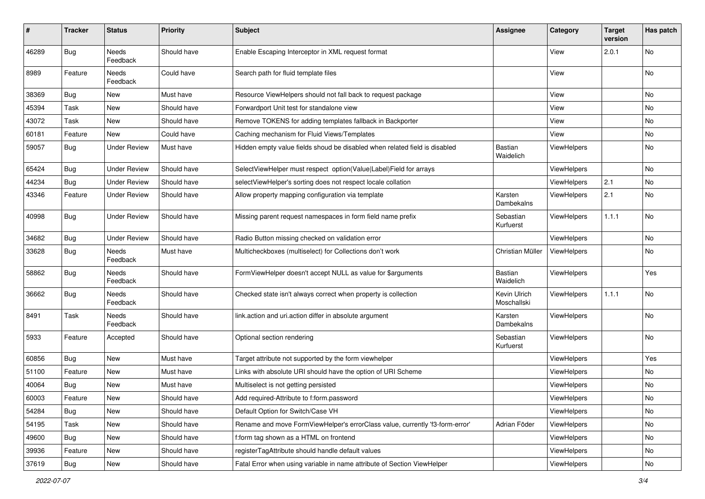| $\#$  | <b>Tracker</b> | <b>Status</b>            | <b>Priority</b> | <b>Subject</b>                                                               | <b>Assignee</b>             | Category           | <b>Target</b><br>version | Has patch     |
|-------|----------------|--------------------------|-----------------|------------------------------------------------------------------------------|-----------------------------|--------------------|--------------------------|---------------|
| 46289 | <b>Bug</b>     | <b>Needs</b><br>Feedback | Should have     | Enable Escaping Interceptor in XML request format                            |                             | View               | 2.0.1                    | No            |
| 8989  | Feature        | Needs<br>Feedback        | Could have      | Search path for fluid template files                                         |                             | View               |                          | No            |
| 38369 | Bug            | New                      | Must have       | Resource ViewHelpers should not fall back to request package                 |                             | View               |                          | No            |
| 45394 | Task           | New                      | Should have     | Forwardport Unit test for standalone view                                    |                             | View               |                          | No            |
| 43072 | Task           | New                      | Should have     | Remove TOKENS for adding templates fallback in Backporter                    |                             | View               |                          | No            |
| 60181 | Feature        | New                      | Could have      | Caching mechanism for Fluid Views/Templates                                  |                             | View               |                          | No            |
| 59057 | Bug            | <b>Under Review</b>      | Must have       | Hidden empty value fields shoud be disabled when related field is disabled   | Bastian<br>Waidelich        | ViewHelpers        |                          | No            |
| 65424 | Bug            | <b>Under Review</b>      | Should have     | SelectViewHelper must respect option(Value Label)Field for arrays            |                             | ViewHelpers        |                          | No            |
| 44234 | Bug            | <b>Under Review</b>      | Should have     | selectViewHelper's sorting does not respect locale collation                 |                             | ViewHelpers        | 2.1                      | No            |
| 43346 | Feature        | <b>Under Review</b>      | Should have     | Allow property mapping configuration via template                            | Karsten<br>Dambekalns       | <b>ViewHelpers</b> | 2.1                      | No            |
| 40998 | Bug            | <b>Under Review</b>      | Should have     | Missing parent request namespaces in form field name prefix                  | Sebastian<br>Kurfuerst      | ViewHelpers        | 1.1.1                    | No            |
| 34682 | Bug            | <b>Under Review</b>      | Should have     | Radio Button missing checked on validation error                             |                             | ViewHelpers        |                          | No            |
| 33628 | Bug            | Needs<br>Feedback        | Must have       | Multicheckboxes (multiselect) for Collections don't work                     | Christian Müller            | <b>ViewHelpers</b> |                          | No            |
| 58862 | Bug            | Needs<br>Feedback        | Should have     | FormViewHelper doesn't accept NULL as value for \$arguments                  | <b>Bastian</b><br>Waidelich | ViewHelpers        |                          | Yes           |
| 36662 | Bug            | Needs<br>Feedback        | Should have     | Checked state isn't always correct when property is collection               | Kevin Ulrich<br>Moschallski | ViewHelpers        | 1.1.1                    | No            |
| 8491  | Task           | Needs<br>Feedback        | Should have     | link.action and uri.action differ in absolute argument                       | Karsten<br>Dambekalns       | ViewHelpers        |                          | No            |
| 5933  | Feature        | Accepted                 | Should have     | Optional section rendering                                                   | Sebastian<br>Kurfuerst      | ViewHelpers        |                          | No            |
| 60856 | Bug            | New                      | Must have       | Target attribute not supported by the form viewhelper                        |                             | ViewHelpers        |                          | Yes           |
| 51100 | Feature        | New                      | Must have       | Links with absolute URI should have the option of URI Scheme                 |                             | ViewHelpers        |                          | No            |
| 40064 | Bug            | New                      | Must have       | Multiselect is not getting persisted                                         |                             | ViewHelpers        |                          | No            |
| 60003 | Feature        | New                      | Should have     | Add required-Attribute to f:form.password                                    |                             | ViewHelpers        |                          | No            |
| 54284 | Bug            | New                      | Should have     | Default Option for Switch/Case VH                                            |                             | ViewHelpers        |                          | No            |
| 54195 | Task           | New                      | Should have     | Rename and move FormViewHelper's errorClass value, currently 'f3-form-error' | Adrian Föder                | ViewHelpers        |                          | No            |
| 49600 | Bug            | New                      | Should have     | f:form tag shown as a HTML on frontend                                       |                             | ViewHelpers        |                          | No            |
| 39936 | Feature        | New                      | Should have     | registerTagAttribute should handle default values                            |                             | ViewHelpers        |                          | No            |
| 37619 | <b>Bug</b>     | New                      | Should have     | Fatal Error when using variable in name attribute of Section ViewHelper      |                             | ViewHelpers        |                          | $\mathsf{No}$ |